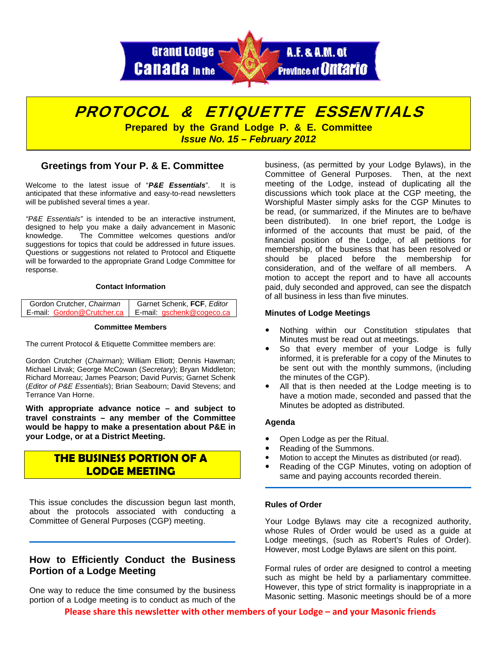



## **Greetings from Your P. & E. Committee**

Welcome to the latest issue of "*P&E Essentials*". It is anticipated that these informative and easy-to-read newsletters will be published several times a year.

*"P&E Essentials"* is intended to be an interactive instrument, designed to help you make a daily advancement in Masonic knowledge. The Committee welcomes questions and/or suggestions for topics that could be addressed in future issues. Questions or suggestions not related to Protocol and Etiquette will be forwarded to the appropriate Grand Lodge Committee for response.

#### **Contact Information**

| Gordon Crutcher, Chairman  | Garnet Schenk, FCF, Editor |
|----------------------------|----------------------------|
| E-mail: Gordon@Crutcher.ca | E-mail: gschenk@cogeco.ca  |

#### **Committee Members**

The current Protocol & Etiquette Committee members are:

Gordon Crutcher (*Chairman*); William Elliott; Dennis Hawman; Michael Litvak; George McCowan (*Secretary*); Bryan Middleton; Richard Morreau; James Pearson; David Purvis; Garnet Schenk (*Editor of P&E Essentials*); Brian Seabourn; David Stevens; and Terrance Van Horne.

**With appropriate advance notice – and subject to travel constraints – any member of the Committee would be happy to make a presentation about P&E in your Lodge, or at a District Meeting.** 

# **THE BUSINESS PORTION OF A LODGE MEETING**

This issue concludes the discussion begun last month, about the protocols associated with conducting a Committee of General Purposes (CGP) meeting.

# **How to Efficiently Conduct the Business Portion of a Lodge Meeting**

One way to reduce the time consumed by the business portion of a Lodge meeting is to conduct as much of the

business, (as permitted by your Lodge Bylaws), in the Committee of General Purposes. Then, at the next meeting of the Lodge, instead of duplicating all the discussions which took place at the CGP meeting, the Worshipful Master simply asks for the CGP Minutes to be read, (or summarized, if the Minutes are to be/have been distributed). In one brief report, the Lodge is informed of the accounts that must be paid, of the financial position of the Lodge, of all petitions for membership, of the business that has been resolved or should be placed before the membership for consideration, and of the welfare of all members. A motion to accept the report and to have all accounts paid, duly seconded and approved, can see the dispatch of all business in less than five minutes.

#### **Minutes of Lodge Meetings**

- Nothing within our Constitution stipulates that Minutes must be read out at meetings.
- So that every member of your Lodge is fully informed, it is preferable for a copy of the Minutes to be sent out with the monthly summons, (including the minutes of the CGP).
- All that is then needed at the Lodge meeting is to have a motion made, seconded and passed that the Minutes be adopted as distributed.

### **Agenda**

- Open Lodge as per the Ritual.
- Reading of the Summons.
- Motion to accept the Minutes as distributed (or read).
- Reading of the CGP Minutes, voting on adoption of same and paying accounts recorded therein.

### **Rules of Order**

Your Lodge Bylaws may cite a recognized authority, whose Rules of Order would be used as a guide at Lodge meetings, (such as Robert's Rules of Order). However, most Lodge Bylaws are silent on this point.

Formal rules of order are designed to control a meeting such as might be held by a parliamentary committee. However, this type of strict formality is inappropriate in a Masonic setting. Masonic meetings should be of a more

**Please share this newsletter with other members of your Lodge – and your Masonic friends**